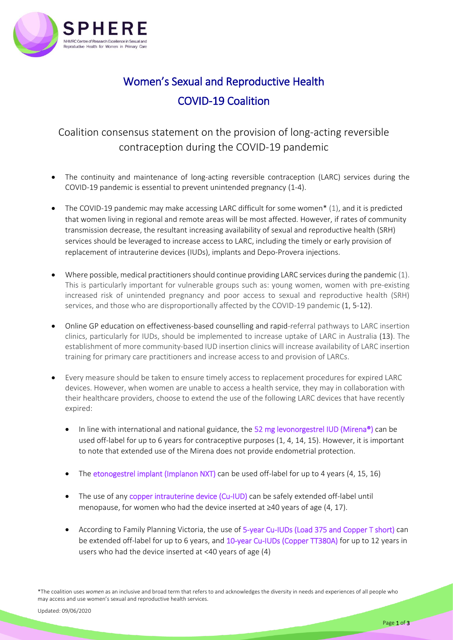

## Women's Sexual and Reproductive Health COVID-19 Coalition

## Coalition consensus statement on the provision of long-acting reversible contraception during the COVID-19 pandemic

- The continuity and maintenance of long-acting reversible contraception (LARC) services during the COVID-19 pandemic is essential to prevent unintended pregnancy (1-4).
- The COVID-19 pandemic may make accessing LARC difficult for some women\* (1), and it is predicted that women living in regional and remote areas will be most affected. However, if rates of community transmission decrease, the resultant increasing availability of sexual and reproductive health (SRH) services should be leveraged to increase access to LARC, including the timely or early provision of replacement of intrauterine devices (IUDs), implants and Depo-Provera injections.
- Where possible, medical practitioners should continue providing LARC services during the pandemic (1). This is particularly important for vulnerable groups such as: young women, women with pre-existing increased risk of unintended pregnancy and poor access to sexual and reproductive health (SRH) services, and those who are disproportionally affected by the COVID-19 pandemic (1, 5-12).
- Online GP education on effectiveness-based counselling and rapid-referral pathways to LARC insertion clinics, particularly for IUDs, should be implemented to increase uptake of LARC in Australia (13). The establishment of more community-based IUD insertion clinics will increase availability of LARC insertion training for primary care practitioners and increase access to and provision of LARCs.
- Every measure should be taken to ensure timely access to replacement procedures for expired LARC devices. However, when women are unable to access a health service, they may in collaboration with their healthcare providers, choose to extend the use of the following LARC devices that have recently expired:
	- In line with international and national guidance, the 52 mg levonorgestrel IUD (Mirena<sup>®</sup>) can be used off-label for up to 6 years for contraceptive purposes (1, 4, 14, 15). However, it is important to note that extended use of the Mirena does not provide endometrial protection.
	- The etonogestrel implant (Implanon NXT) can be used off-label for up to 4 years (4, 15, 16)
	- The use of any copper intrauterine device (Cu-IUD) can be safely extended off-label until menopause, for women who had the device inserted at ≥40 years of age (4, 17).
	- According to Family Planning Victoria, the use of 5-year Cu-IUDs (Load 375 and Copper T short) can be extended off-label for up to 6 years, and 10-year Cu-IUDs (Copper TT380A) for up to 12 years in users who had the device inserted at <40 years of age (4)

\*The coalition uses *women* as an inclusive and broad term that refers to and acknowledges the diversity in needs and experiences of all people who may access and use women's sexual and reproductive health services.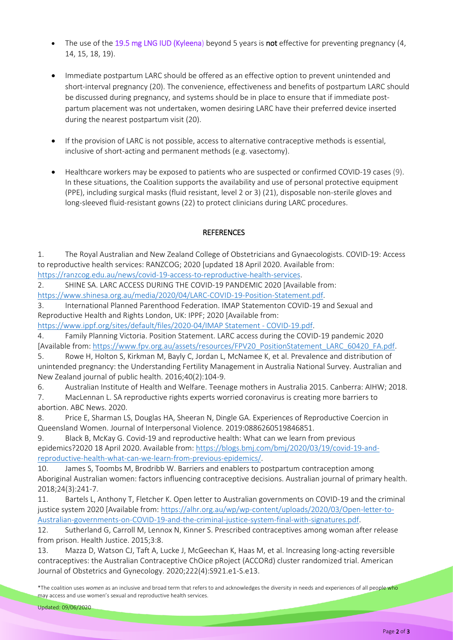- The use of the 19.5 mg LNG IUD (Kyleena) beyond 5 years is not effective for preventing pregnancy (4, 14, 15, 18, 19).
- Immediate postpartum LARC should be offered as an effective option to prevent unintended and short-interval pregnancy (20). The convenience, effectiveness and benefits of postpartum LARC should be discussed during pregnancy, and systems should be in place to ensure that if immediate postpartum placement was not undertaken, women desiring LARC have their preferred device inserted during the nearest postpartum visit (20).
- If the provision of LARC is not possible, access to alternative contraceptive methods is essential, inclusive of short-acting and permanent methods (e.g. vasectomy).
- Healthcare workers may be exposed to patients who are suspected or confirmed COVID-19 cases (9). In these situations, the Coalition supports the availability and use of personal protective equipment (PPE), including surgical masks (fluid resistant, level 2 or 3) (21), disposable non-sterile gloves and long-sleeved fluid-resistant gowns (22) to protect clinicians during LARC procedures.

## **REFERENCES**

1. The Royal Australian and New Zealand College of Obstetricians and Gynaecologists. COVID-19: Access to reproductive health services: RANZCOG; 2020 [updated 18 April 2020. Available from: [https://ranzcog.edu.au/news/covid-19-access-to-reproductive-health-services.](https://ranzcog.edu.au/news/covid-19-access-to-reproductive-health-services)

2. SHINE SA. LARC ACCESS DURING THE COVID-19 PANDEMIC 2020 [Available from: [https://www.shinesa.org.au/media/2020/04/LARC-COVID-19-Position-Statement.pdf.](https://www.shinesa.org.au/media/2020/04/LARC-COVID-19-Position-Statement.pdf)

3. International Planned Parenthood Federation. IMAP Statementon COVID-19 and Sexual and Reproductive Health and Rights London, UK: IPPF; 2020 [Available from:

[https://www.ippf.org/sites/default/files/2020-04/IMAP Statement -](https://www.ippf.org/sites/default/files/2020-04/IMAP%20Statement%20-%20COVID-19.pdf) COVID-19.pdf.

4. Family Planning Victoria. Position Statement. LARC access during the COVID-19 pandemic 2020 [Available from: [https://www.fpv.org.au/assets/resources/FPV20\\_PositionStatement\\_LARC\\_60420\\_FA.pdf.](https://www.fpv.org.au/assets/resources/FPV20_PositionStatement_LARC_60420_FA.pdf)

5. Rowe H, Holton S, Kirkman M, Bayly C, Jordan L, McNamee K, et al. Prevalence and distribution of unintended pregnancy: the Understanding Fertility Management in Australia National Survey. Australian and New Zealand journal of public health. 2016;40(2):104-9.

6. Australian Institute of Health and Welfare. Teenage mothers in Australia 2015. Canberra: AIHW; 2018.

7. MacLennan L. SA reproductive rights experts worried coronavirus is creating more barriers to abortion. ABC News. 2020.

8. Price E, Sharman LS, Douglas HA, Sheeran N, Dingle GA. Experiences of Reproductive Coercion in Queensland Women. Journal of Interpersonal Violence. 2019:0886260519846851.

9. Black B, McKay G. Covid-19 and reproductive health: What can we learn from previous epidemics?2020 18 April 2020. Available from[: https://blogs.bmj.com/bmj/2020/03/19/covid-19-and](https://blogs.bmj.com/bmj/2020/03/19/covid-19-and-reproductive-health-what-can-we-learn-from-previous-epidemics/)[reproductive-health-what-can-we-learn-from-previous-epidemics/.](https://blogs.bmj.com/bmj/2020/03/19/covid-19-and-reproductive-health-what-can-we-learn-from-previous-epidemics/)

10. James S, Toombs M, Brodribb W. Barriers and enablers to postpartum contraception among Aboriginal Australian women: factors influencing contraceptive decisions. Australian journal of primary health. 2018;24(3):241-7.

11. Bartels L, Anthony T, Fletcher K. Open letter to Australian governments on COVID-19 and the criminal justice system 2020 [Available from[: https://alhr.org.au/wp/wp-content/uploads/2020/03/Open-letter-to-](https://alhr.org.au/wp/wp-content/uploads/2020/03/Open-letter-to-Australian-governments-on-COVID-19-and-the-criminal-justice-system-final-with-signatures.pdf)[Australian-governments-on-COVID-19-and-the-criminal-justice-system-final-with-signatures.pdf.](https://alhr.org.au/wp/wp-content/uploads/2020/03/Open-letter-to-Australian-governments-on-COVID-19-and-the-criminal-justice-system-final-with-signatures.pdf)

12. Sutherland G, Carroll M, Lennox N, Kinner S. Prescribed contraceptives among woman after release from prison. Health Justice. 2015;3:8.

13. Mazza D, Watson CJ, Taft A, Lucke J, McGeechan K, Haas M, et al. Increasing long-acting reversible contraceptives: the Australian Contraceptive ChOice pRoject (ACCORd) cluster randomized trial. American Journal of Obstetrics and Gynecology. 2020;222(4):S921.e1-S.e13.

<sup>\*</sup>The coalition uses *women* as an inclusive and broad term that refers to and acknowledges the diversity in needs and experiences of all people who may access and use women's sexual and reproductive health services.